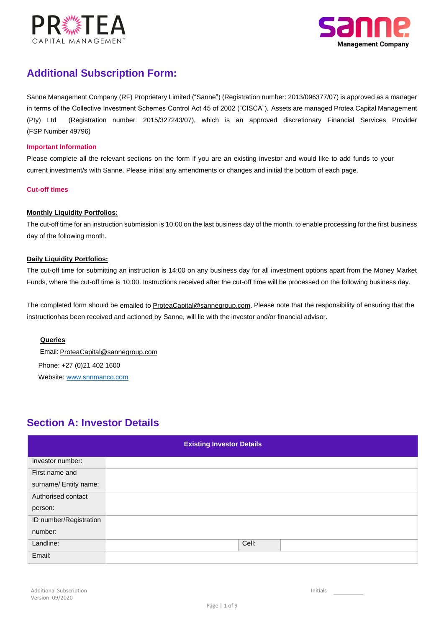



# **Additional Subscription Form:**

(FSP Number 49796) (Pty) Ltd (Registration number: 2015/327243/07), which is an approved discretionary Financial Services Provider in terms of the Collective Investment Schemes Control Act 45 of 2002 ("CISCA"). Assets are managed Protea Capital Management Sanne Management Company (RF) Proprietary Limited ("Sanne") (Registration number: 2013/096377/07) is approved as a manager

### **Important Information**

current investment/s with Sanne. Please initial any amendments or changes and initial the bottom of each page. Please complete all the relevant sections on the form if you are an existing investor and would like to add funds to your

### **Cut-off times**

### **Monthly Liquidity Portfolios:**

The cut-off time for an instruction submission is 10:00 on the last business day of the month, to enable processing for the first business day of the following month.

### **Daily Liquidity Portfolios:**

The cut-off time for submitting an instruction is 14:00 on any business day for all investment options apart from the Money Market Funds, where the cut-off time is 10:00. Instructions received after the cut-off time will be processed on the following business day.

instructionhas been received and actioned by Sanne, will lie with the investor and/or financial advisor. The completed form should be emailed to ProteaCapital@sannegroup.com. Please note that the responsibility of ensuring that the

### **Queries**

 Email: ProteaCapital@sannegroup.com Phone: +27 (0)21 402 1600 Website: www.snnmanco.com

## **Section A: Investor Details**

| <b>Existing Investor Details</b> |  |       |  |  |  |  |
|----------------------------------|--|-------|--|--|--|--|
| Investor number:                 |  |       |  |  |  |  |
| First name and                   |  |       |  |  |  |  |
| surname/ Entity name:            |  |       |  |  |  |  |
| Authorised contact               |  |       |  |  |  |  |
| person:                          |  |       |  |  |  |  |
| ID number/Registration           |  |       |  |  |  |  |
| number:                          |  |       |  |  |  |  |
| Landline:                        |  | Cell: |  |  |  |  |
| Email:                           |  |       |  |  |  |  |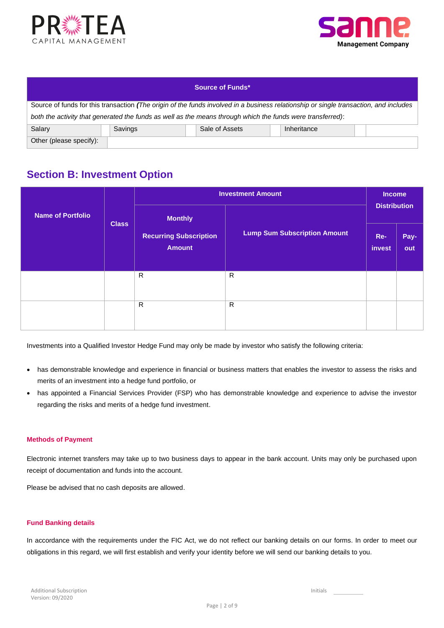



| <b>Source of Funds*</b>                                                                                    |                                                                                                                                       |                |             |  |  |  |  |
|------------------------------------------------------------------------------------------------------------|---------------------------------------------------------------------------------------------------------------------------------------|----------------|-------------|--|--|--|--|
|                                                                                                            | Source of funds for this transaction (The origin of the funds involved in a business relationship or single transaction, and includes |                |             |  |  |  |  |
| both the activity that generated the funds as well as the means through which the funds were transferred): |                                                                                                                                       |                |             |  |  |  |  |
| Salary                                                                                                     | Savings                                                                                                                               | Sale of Assets | Inheritance |  |  |  |  |
| Other (please specify):                                                                                    |                                                                                                                                       |                |             |  |  |  |  |

# **Section B: Investment Option**

|                          |              |                                                | <b>Investment Amount</b>            | <b>Income</b>       |             |  |  |  |
|--------------------------|--------------|------------------------------------------------|-------------------------------------|---------------------|-------------|--|--|--|
| <b>Name of Portfolio</b> | <b>Class</b> | <b>Monthly</b>                                 |                                     | <b>Distribution</b> |             |  |  |  |
|                          |              | <b>Recurring Subscription</b><br><b>Amount</b> | <b>Lump Sum Subscription Amount</b> | Re-<br>invest       | Pay-<br>out |  |  |  |
|                          |              | R.                                             | $\mathsf{R}$                        |                     |             |  |  |  |
|                          |              | R                                              | $\mathsf{R}$                        |                     |             |  |  |  |

Investments into a Qualified Investor Hedge Fund may only be made by investor who satisfy the following criteria:

- has demonstrable knowledge and experience in financial or business matters that enables the investor to assess the risks and merits of an investment into a hedge fund portfolio, or
- has appointed a Financial Services Provider (FSP) who has demonstrable knowledge and experience to advise the investor regarding the risks and merits of a hedge fund investment.

#### **Methods of Payment**

Electronic internet transfers may take up to two business days to appear in the bank account. Units may only be purchased upon receipt of documentation and funds into the account.

Please be advised that no cash deposits are allowed.

### **Fund Banking details**

In accordance with the requirements under the FIC Act, we do not reflect our banking details on our forms. In order to meet our obligations in this regard, we will first establish and verify your identity before we will send our banking details to you.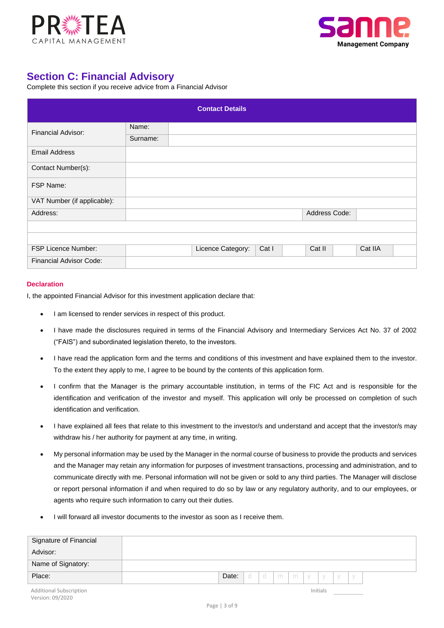



# **Section C: Financial Advisory**

Complete this section if you receive advice from a Financial Advisor

|                                |          | <b>Contact Details</b> |       |               |         |  |
|--------------------------------|----------|------------------------|-------|---------------|---------|--|
| <b>Financial Advisor:</b>      | Name:    |                        |       |               |         |  |
|                                | Surname: |                        |       |               |         |  |
| <b>Email Address</b>           |          |                        |       |               |         |  |
| Contact Number(s):             |          |                        |       |               |         |  |
| FSP Name:                      |          |                        |       |               |         |  |
| VAT Number (if applicable):    |          |                        |       |               |         |  |
| Address:                       |          |                        |       | Address Code: |         |  |
|                                |          |                        |       |               |         |  |
|                                |          |                        |       |               |         |  |
| <b>FSP Licence Number:</b>     |          | Licence Category:      | Cat I | Cat II        | Cat IIA |  |
| <b>Financial Advisor Code:</b> |          |                        |       |               |         |  |

#### **Declaration**

I, the appointed Financial Advisor for this investment application declare that:

- I am licensed to render services in respect of this product.
- I have made the disclosures required in terms of the Financial Advisory and Intermediary Services Act No. 37 of 2002 ("FAIS") and subordinated legislation thereto, to the investors.
- I have read the application form and the terms and conditions of this investment and have explained them to the investor. To the extent they apply to me, I agree to be bound by the contents of this application form.
- I confirm that the Manager is the primary accountable institution, in terms of the FIC Act and is responsible for the identification and verification of the investor and myself. This application will only be processed on completion of such identification and verification.
- I have explained all fees that relate to this investment to the investor/s and understand and accept that the investor/s may withdraw his / her authority for payment at any time, in writing.
- My personal information may be used by the Manager in the normal course of business to provide the products and services and the Manager may retain any information for purposes of investment transactions, processing and administration, and to communicate directly with me. Personal information will not be given or sold to any third parties. The Manager will disclose or report personal information if and when required to do so by law or any regulatory authority, and to our employees, or agents who require such information to carry out their duties.
- I will forward all investor documents to the investor as soon as I receive them.

| Signature of Financial         |                                      |          |  |  |
|--------------------------------|--------------------------------------|----------|--|--|
| Advisor:                       |                                      |          |  |  |
| Name of Signatory:             |                                      |          |  |  |
| Place:                         | Date:<br>  d   m   m   y   y   y   y |          |  |  |
| <b>Additional Subscription</b> |                                      | Initials |  |  |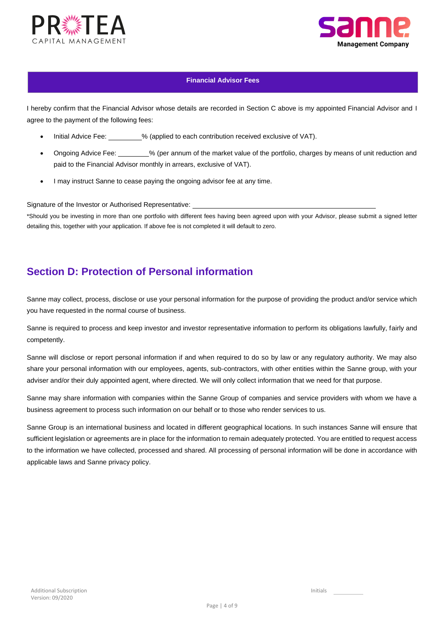



### **Financial Advisor Fees**

I hereby confirm that the Financial Advisor whose details are recorded in Section C above is my appointed Financial Advisor and I agree to the payment of the following fees:

- Initial Advice Fee: % (applied to each contribution received exclusive of VAT).
- Ongoing Advice Fee: % (per annum of the market value of the portfolio, charges by means of unit reduction and paid to the Financial Advisor monthly in arrears, exclusive of VAT).
- I may instruct Sanne to cease paying the ongoing advisor fee at any time.

Signature of the Investor or Authorised Representative:

\*Should you be investing in more than one portfolio with different fees having been agreed upon with your Advisor, please submit a signed letter detailing this, together with your application. If above fee is not completed it will default to zero.

## **Section D: Protection of Personal information**

Sanne may collect, process, disclose or use your personal information for the purpose of providing the product and/or service which you have requested in the normal course of business.

Sanne is required to process and keep investor and investor representative information to perform its obligations lawfully, fairly and competently.

Sanne will disclose or report personal information if and when required to do so by law or any regulatory authority. We may also share your personal information with our employees, agents, sub-contractors, with other entities within the Sanne group, with your adviser and/or their duly appointed agent, where directed. We will only collect information that we need for that purpose.

Sanne may share information with companies within the Sanne Group of companies and service providers with whom we have a business agreement to process such information on our behalf or to those who render services to us.

Sanne Group is an international business and located in different geographical locations. In such instances Sanne will ensure that sufficient legislation or agreements are in place for the information to remain adequately protected. You are entitled to request access to the information we have collected, processed and shared. All processing of personal information will be done in accordance with applicable laws and Sanne privacy policy.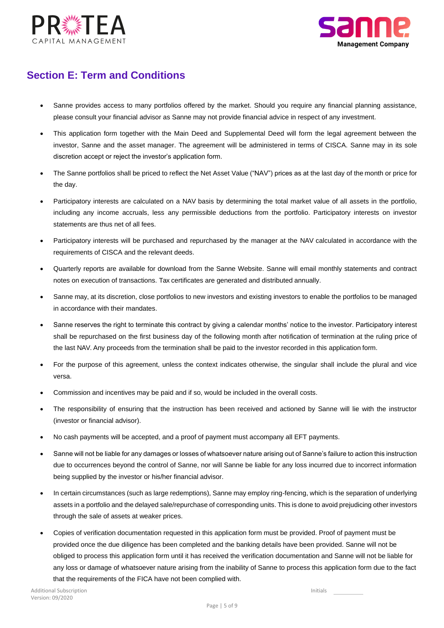



# **Section E: Term and Conditions**

- Sanne provides access to many portfolios offered by the market. Should you require any financial planning assistance, please consult your financial advisor as Sanne may not provide financial advice in respect of any investment.
- This application form together with the Main Deed and Supplemental Deed will form the legal agreement between the investor, Sanne and the asset manager. The agreement will be administered in terms of CISCA. Sanne may in its sole discretion accept or reject the investor's application form.
- The Sanne portfolios shall be priced to reflect the Net Asset Value ("NAV") prices as at the last day of the month or price for the day.
- Participatory interests are calculated on a NAV basis by determining the total market value of all assets in the portfolio, including any income accruals, less any permissible deductions from the portfolio. Participatory interests on investor statements are thus net of all fees.
- Participatory interests will be purchased and repurchased by the manager at the NAV calculated in accordance with the requirements of CISCA and the relevant deeds.
- Quarterly reports are available for download from the Sanne Website. Sanne will email monthly statements and contract notes on execution of transactions. Tax certificates are generated and distributed annually.
- Sanne may, at its discretion, close portfolios to new investors and existing investors to enable the portfolios to be managed in accordance with their mandates.
- Sanne reserves the right to terminate this contract by giving a calendar months' notice to the investor. Participatory interest shall be repurchased on the first business day of the following month after notification of termination at the ruling price of the last NAV. Any proceeds from the termination shall be paid to the investor recorded in this application form.
- For the purpose of this agreement, unless the context indicates otherwise, the singular shall include the plural and vice versa.
- Commission and incentives may be paid and if so, would be included in the overall costs.
- The responsibility of ensuring that the instruction has been received and actioned by Sanne will lie with the instructor (investor or financial advisor).
- No cash payments will be accepted, and a proof of payment must accompany all EFT payments.
- Sanne will not be liable for any damages or losses of whatsoever nature arising out of Sanne's failure to action this instruction due to occurrences beyond the control of Sanne, nor will Sanne be liable for any loss incurred due to incorrect information being supplied by the investor or his/her financial advisor.
- In certain circumstances (such as large redemptions), Sanne may employ ring-fencing, which is the separation of underlying assets in a portfolio and the delayed sale/repurchase of corresponding units. This is done to avoid prejudicing other investors through the sale of assets at weaker prices.
- Copies of verification documentation requested in this application form must be provided. Proof of payment must be provided once the due diligence has been completed and the banking details have been provided. Sanne will not be obliged to process this application form until it has received the verification documentation and Sanne will not be liable for any loss or damage of whatsoever nature arising from the inability of Sanne to process this application form due to the fact that the requirements of the FICA have not been complied with.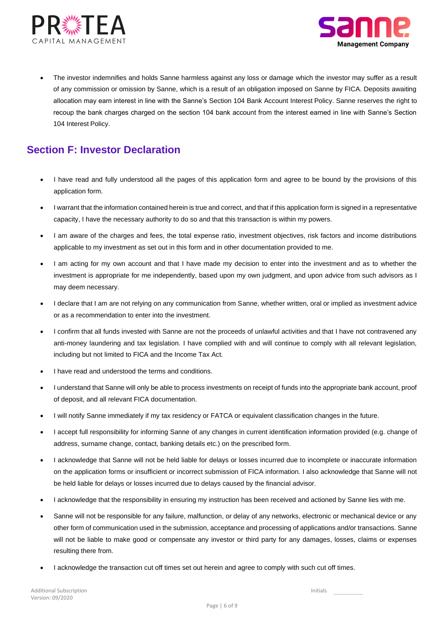



• The investor indemnifies and holds Sanne harmless against any loss or damage which the investor may suffer as a result of any commission or omission by Sanne, which is a result of an obligation imposed on Sanne by FICA. Deposits awaiting allocation may earn interest in line with the Sanne's Section 104 Bank Account Interest Policy. Sanne reserves the right to recoup the bank charges charged on the section 104 bank account from the interest earned in line with Sanne's Section 104 Interest Policy.

## **Section F: Investor Declaration**

- I have read and fully understood all the pages of this application form and agree to be bound by the provisions of this application form.
- I warrant that the information contained herein is true and correct, and that if this application form is signed in a representative capacity, I have the necessary authority to do so and that this transaction is within my powers.
- I am aware of the charges and fees, the total expense ratio, investment objectives, risk factors and income distributions applicable to my investment as set out in this form and in other documentation provided to me.
- I am acting for my own account and that I have made my decision to enter into the investment and as to whether the investment is appropriate for me independently, based upon my own judgment, and upon advice from such advisors as I may deem necessary.
- I declare that I am are not relying on any communication from Sanne, whether written, oral or implied as investment advice or as a recommendation to enter into the investment.
- I confirm that all funds invested with Sanne are not the proceeds of unlawful activities and that I have not contravened any anti-money laundering and tax legislation. I have complied with and will continue to comply with all relevant legislation, including but not limited to FICA and the Income Tax Act.
- I have read and understood the terms and conditions.
- I understand that Sanne will only be able to process investments on receipt of funds into the appropriate bank account, proof of deposit, and all relevant FICA documentation.
- I will notify Sanne immediately if my tax residency or FATCA or equivalent classification changes in the future.
- I accept full responsibility for informing Sanne of any changes in current identification information provided (e.g. change of address, surname change, contact, banking details etc.) on the prescribed form.
- I acknowledge that Sanne will not be held liable for delays or losses incurred due to incomplete or inaccurate information on the application forms or insufficient or incorrect submission of FICA information. I also acknowledge that Sanne will not be held liable for delays or losses incurred due to delays caused by the financial advisor.
- I acknowledge that the responsibility in ensuring my instruction has been received and actioned by Sanne lies with me.
- Sanne will not be responsible for any failure, malfunction, or delay of any networks, electronic or mechanical device or any other form of communication used in the submission, acceptance and processing of applications and/or transactions. Sanne will not be liable to make good or compensate any investor or third party for any damages, losses, claims or expenses resulting there from.
- I acknowledge the transaction cut off times set out herein and agree to comply with such cut off times.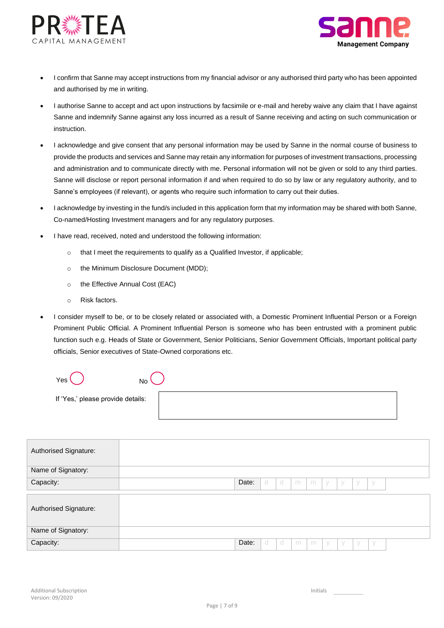



- I confirm that Sanne may accept instructions from my financial advisor or any authorised third party who has been appointed and authorised by me in writing.
- I authorise Sanne to accept and act upon instructions by facsimile or e-mail and hereby waive any claim that I have against Sanne and indemnify Sanne against any loss incurred as a result of Sanne receiving and acting on such communication or instruction.
- I acknowledge and give consent that any personal information may be used by Sanne in the normal course of business to provide the products and services and Sanne may retain any information for purposes of investment transactions, processing and administration and to communicate directly with me. Personal information will not be given or sold to any third parties. Sanne will disclose or report personal information if and when required to do so by law or any regulatory authority, and to Sanne's employees (if relevant), or agents who require such information to carry out their duties.
- I acknowledge by investing in the fund/s included in this application form that my information may be shared with both Sanne, Co-named/Hosting Investment managers and for any regulatory purposes.
- I have read, received, noted and understood the following information:
	- o that I meet the requirements to qualify as a Qualified Investor, if applicable;
	- o the Minimum Disclosure Document (MDD);
	- o the Effective Annual Cost (EAC)
	- o Risk factors.
- I consider myself to be, or to be closely related or associated with, a Domestic Prominent Influential Person or a Foreign Prominent Public Official. A Prominent Influential Person is someone who has been entrusted with a prominent public function such e.g. Heads of State or Government, Senior Politicians, Senior Government Officials, Important political party officials, Senior executives of State-Owned corporations etc.

| Yes<br>No                         |  |
|-----------------------------------|--|
| If 'Yes,' please provide details: |  |

| Authorised Signature: |       |     |    |   |   |   |           |             |     |  |
|-----------------------|-------|-----|----|---|---|---|-----------|-------------|-----|--|
| Name of Signatory:    |       |     |    |   |   |   |           |             |     |  |
| Capacity:             | Date: | - d | d  | m | m | V | $\sqrt{}$ | $\sqrt{}$   | У   |  |
| Authorised Signature: |       |     |    |   |   |   |           |             |     |  |
| Name of Signatory:    |       |     |    |   |   |   |           |             |     |  |
| Capacity:             | Date: | d   | -d | m | m | y | y         | $\setminus$ | - V |  |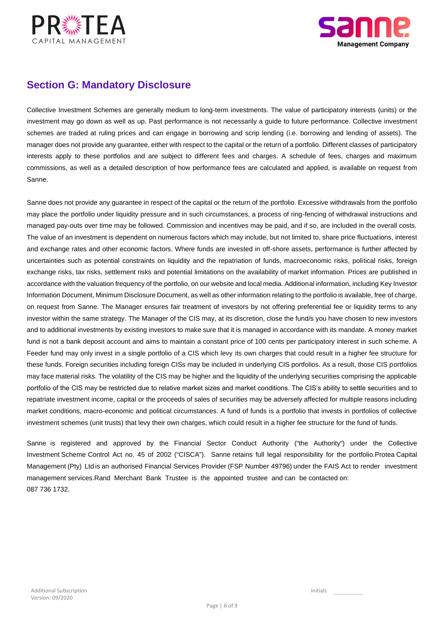



# **Section G: Mandatory Disclosure**

Collective Investment Schemes are generally medium to long-term investments. The value of participatory interests (units) or the investment may go down as well as up. Past performance is not necessarily a guide to future performance. Collective investment schemes are traded at ruling prices and can engage in borrowing and scrip lending (i.e. borrowing and lending of assets). The manager does not provide any guarantee, either with respect to the capital or the return of a portfolio. Different classes of participatory interests apply to these portfolios and are subject to different fees and charges. A schedule of fees, charges and maximum commissions, as well as a detailed description of how performance fees are calculated and applied, is available on request from Sanne.

Sanne does not provide any guarantee in respect of the capital or the return of the portfolio. Excessive withdrawals from the portfolio may place the portfolio under liquidity pressure and in such circumstances, a process of ring-fencing of withdrawal instructions and managed pay-outs over time may be followed. Commission and incentives may be paid, and if so, are included in the overall costs. The value of an investment is dependent on numerous factors which may include, but not limited to, share price fluctuations, interest and exchange rates and other economic factors. Where funds are invested in off-shore assets, performance is further affected by uncertainties such as potential constraints on liquidity and the repatriation of funds, macroeconomic risks, political risks, foreign exchange risks, tax risks, settlement risks and potential limitations on the availability of market information. Prices are published in accordance with the valuation frequency of the portfolio, on our website and local media. Additional information, including Key Investor Information Document, Minimum Disclosure Document, as well as other information relating to the portfolio is available, free of charge, on request from Sanne. The Manager ensures fair treatment of investors by not offering preferential fee or liquidity terms to any investor within the same strategy. The Manager of the CIS may, at its discretion, close the fund/s you have chosen to new investors and to additional investments by existing investors to make sure that it is managed in accordance with its mandate. A money market fund is not a bank deposit account and aims to maintain a constant price of 100 cents per participatory interest in such scheme. A Feeder fund may only invest in a single portfolio of a CIS which levy its own charges that could result in a higher fee structure for these funds. Foreign securities including foreign CISs may be included in underlying CIS portfolios. As a result, those CIS portfolios may face material risks. The volatility of the CIS may be higher and the liquidity of the underlying securities comprising the applicable portfolio of the CIS may be restricted due to relative market sizes and market conditions. The CIS's ability to settle securities and to repatriate investment income, capital or the proceeds of sales of securities may be adversely affected for multiple reasons including market conditions, macro-economic and political circumstances. A fund of funds is a portfolio that invests in portfolios of collective investment schemes (unit trusts) that levy their own charges, which could result in a higher fee structure for the fund of funds.

087 736 1732. management services.Rand Merchant Bank Trustee is the appointed trustee and can be contacted on: Management (Pty) Ltd is an authorised Financial Services Provider (FSP Number 49796) under the FAIS Act to render investment Investment Scheme Control Act no. 45 of 2002 ("CISCA"). Sanne retains full legal responsibility for the portfolio.Protea Capital Sanne is registered and approved by the Financial Sector Conduct Authority ("the Authority") under the Collective